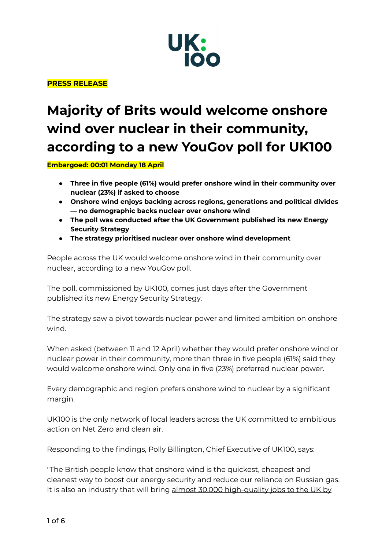

**PRESS RELEASE**

# **Majority of Brits would welcome onshore wind over nuclear in their community, according to a new YouGov poll for UK100**

**Embargoed: 00:01 Monday 18 April**

- **● Three in five people (61%) would prefer onshore wind in their community over nuclear (23%) if asked to choose**
- **● Onshore wind enjoys backing across regions, generations and political divides — no demographic backs nuclear over onshore wind**
- **● The poll was conducted after the UK Government published its new Energy Security Strategy**
- **● The strategy prioritised nuclear over onshore wind development**

People across the UK would welcome onshore wind in their community over nuclear, according to a new YouGov poll.

The poll, commissioned by UK100, comes just days after the Government published its new Energy Security Strategy.

The strategy saw a pivot towards nuclear power and limited ambition on onshore wind.

When asked (between 11 and 12 April) whether they would prefer onshore wind or nuclear power in their community, more than three in five people (61%) said they would welcome onshore wind. Only one in five (23%) preferred nuclear power.

Every demographic and region prefers onshore wind to nuclear by a significant margin.

UK100 is the only network of local leaders across the UK committed to ambitious action on Net Zero and clean air.

Responding to the findings, Polly Billington, Chief Executive of UK100, says:

"The British people know that onshore wind is the quickest, cheapest and cleanest way to boost our energy security and reduce our reliance on Russian gas. It is also an industry that will bring almost 30,000 [high-quality](https://cdn.ymaws.com/www.renewableuk.com/resource/resmgr/media/onshore_wind_prospectus_fina.pdf) jobs to the UK by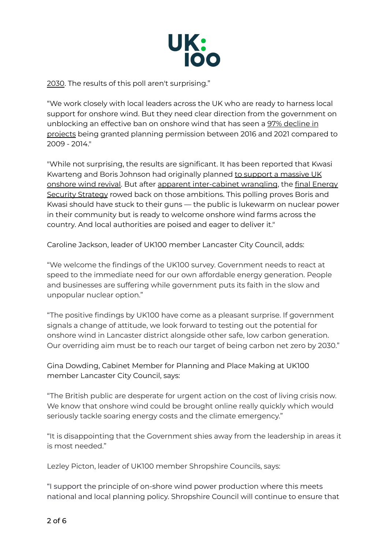

[2030.](https://cdn.ymaws.com/www.renewableuk.com/resource/resmgr/media/onshore_wind_prospectus_fina.pdf) The results of this poll aren't surprising."

"We work closely with local leaders across the UK who are ready to harness local support for onshore wind. But they need clear direction from the government on unblocking an effective ban on onshore wind that has seen a 97% [decline](https://info.uwe.ac.uk/news/uwenews/news.aspx?id=4220) in [projects](https://info.uwe.ac.uk/news/uwenews/news.aspx?id=4220) being granted planning permission between 2016 and 2021 compared to 2009 - 2014."

"While not surprising, the results are significant. It has been reported that Kwasi Kwarteng and Boris Johnson had originally planned to support a [massive](https://twitter.com/paulwaugh/status/1511972056472162304?s=20&t=k2-fhzLrCYOxEDQU6iXHEg) UK [onshore](https://twitter.com/paulwaugh/status/1511972056472162304?s=20&t=k2-fhzLrCYOxEDQU6iXHEg) wind revival. But after apparent [inter-cabinet](https://inews.co.uk/news/politics/cabinet-split-energy-strategy-grant-shapps-contradicts-kwasi-kwarteng-onshore-wind-farms-1554499) wrangling, the final [Energy](https://www.gov.uk/government/publications/british-energy-security-strategy/british-energy-security-strategy) Security [Strategy](https://www.gov.uk/government/publications/british-energy-security-strategy/british-energy-security-strategy) rowed back on those ambitions. This polling proves Boris and Kwasi should have stuck to their guns — the public is lukewarm on nuclear power in their community but is ready to welcome onshore wind farms across the country. And local authorities are poised and eager to deliver it."

Caroline Jackson, leader of UK100 member Lancaster City Council, adds:

"We welcome the findings of the UK100 survey. Government needs to react at speed to the immediate need for our own affordable energy generation. People and businesses are suffering while government puts its faith in the slow and unpopular nuclear option."

"The positive findings by UK100 have come as a pleasant surprise. If government signals a change of attitude, we look forward to testing out the potential for onshore wind in Lancaster district alongside other safe, low carbon generation. Our overriding aim must be to reach our target of being carbon net zero by 2030."

Gina Dowding, Cabinet Member for Planning and Place Making at UK100 member Lancaster City Council, says:

"The British public are desperate for urgent action on the cost of living crisis now. We know that onshore wind could be brought online really quickly which would seriously tackle soaring energy costs and the climate emergency."

"It is disappointing that the Government shies away from the leadership in areas it is most needed."

Lezley Picton, leader of UK100 member Shropshire Councils, says:

"I support the principle of on-shore wind power production where this meets national and local planning policy. Shropshire Council will continue to ensure that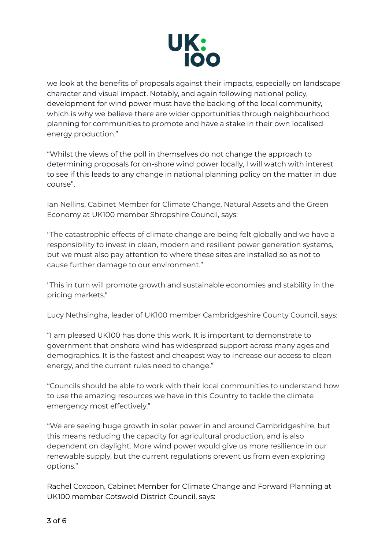

we look at the benefits of proposals against their impacts, especially on landscape character and visual impact. Notably, and again following national policy, development for wind power must have the backing of the local community, which is why we believe there are wider opportunities through neighbourhood planning for communities to promote and have a stake in their own localised energy production."

"Whilst the views of the poll in themselves do not change the approach to determining proposals for on-shore wind power locally, I will watch with interest to see if this leads to any change in national planning policy on the matter in due course".

Ian Nellins, Cabinet Member for Climate Change, Natural Assets and the Green Economy at UK100 member Shropshire Council, says:

"The catastrophic effects of climate change are being felt globally and we have a responsibility to invest in clean, modern and resilient power generation systems, but we must also pay attention to where these sites are installed so as not to cause further damage to our environment."

"This in turn will promote growth and sustainable economies and stability in the pricing markets."

Lucy Nethsingha, leader of UK100 member Cambridgeshire County Council, says:

"I am pleased UK100 has done this work. It is important to demonstrate to government that onshore wind has widespread support across many ages and demographics. It is the fastest and cheapest way to increase our access to clean energy, and the current rules need to change."

"Councils should be able to work with their local communities to understand how to use the amazing resources we have in this Country to tackle the climate emergency most effectively."

"We are seeing huge growth in solar power in and around Cambridgeshire, but this means reducing the capacity for agricultural production, and is also dependent on daylight. More wind power would give us more resilience in our renewable supply, but the current regulations prevent us from even exploring options."

Rachel Coxcoon, Cabinet Member for Climate Change and Forward Planning at UK100 member Cotswold District Council, says: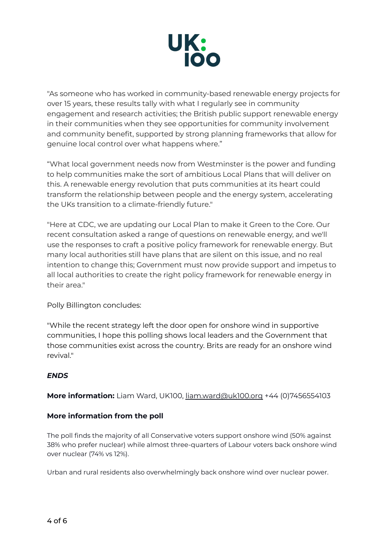

"As someone who has worked in community-based renewable energy projects for over 15 years, these results tally with what I regularly see in community engagement and research activities; the British public support renewable energy in their communities when they see opportunities for community involvement and community benefit, supported by strong planning frameworks that allow for genuine local control over what happens where."

"What local government needs now from Westminster is the power and funding to help communities make the sort of ambitious Local Plans that will deliver on this. A renewable energy revolution that puts communities at its heart could transform the relationship between people and the energy system, accelerating the UKs transition to a climate-friendly future."

"Here at CDC, we are updating our Local Plan to make it Green to the Core. Our recent consultation asked a range of questions on renewable energy, and we'll use the responses to craft a positive policy framework for renewable energy. But many local authorities still have plans that are silent on this issue, and no real intention to change this; Government must now provide support and impetus to all local authorities to create the right policy framework for renewable energy in their area."

Polly Billington concludes:

"While the recent strategy left the door open for onshore wind in supportive communities, I hope this polling shows local leaders and the Government that those communities exist across the country. Brits are ready for an onshore wind revival."

## *ENDS*

**More information:** Liam Ward, UK100, [liam.ward@uk100.org](mailto:liam.ward@uk100.org) +44 (0)7456554103

## **More information from the poll**

The poll finds the majority of all Conservative voters support onshore wind (50% against 38% who prefer nuclear) while almost three-quarters of Labour voters back onshore wind over nuclear (74% vs 12%).

Urban and rural residents also overwhelmingly back onshore wind over nuclear power.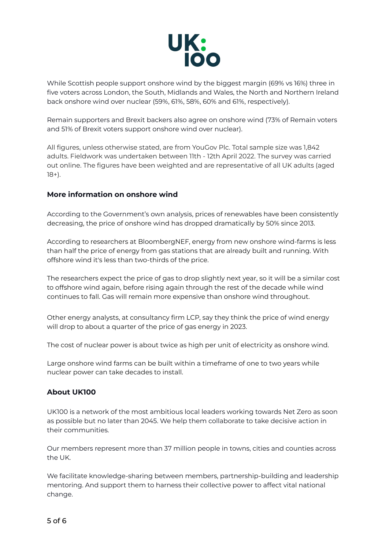

While Scottish people support onshore wind by the biggest margin (69% vs 16%) three in five voters across London, the South, Midlands and Wales, the North and Northern Ireland back onshore wind over nuclear (59%, 61%, 58%, 60% and 61%, respectively).

Remain supporters and Brexit backers also agree on onshore wind (73% of Remain voters and 51% of Brexit voters support onshore wind over nuclear).

All figures, unless otherwise stated, are from YouGov Plc. Total sample size was 1,842 adults. Fieldwork was undertaken between 11th - 12th April 2022. The survey was carried out online. The figures have been weighted and are representative of all UK adults (aged 18+).

## **More information on onshore wind**

According to the Government's own analysis, prices of renewables have been consistently decreasing, the price of onshore wind has dropped dramatically by 50% since 2013.

According to researchers at BloombergNEF, energy from new onshore wind-farms is less than half the price of energy from gas stations that are already built and running. With offshore wind it's less than two-thirds of the price.

The researchers expect the price of gas to drop slightly next year, so it will be a similar cost to offshore wind again, before rising again through the rest of the decade while wind continues to fall. Gas will remain more expensive than onshore wind throughout.

Other energy analysts, at consultancy firm LCP, say they think the price of wind energy will drop to about a quarter of the price of gas energy in 2023.

The cost of [nuclear](https://www.bbc.co.uk/news/uk-england-somerset-57227918) power is about twice as high per unit of electricity as [onshore](https://assets.publishing.service.gov.uk/government/uploads/system/uploads/attachment_data/file/911817/electricity-generation-cost-report-2020.pdf) wind.

Large onshore wind farms can be built within a timeframe of one to two years while nuclear power can take decades to install.

### **About UK100**

UK100 is a network of the most ambitious local leaders working towards Net Zero as soon as possible but no later than 2045. We help them collaborate to take decisive action in their communities.

Our members represent more than 37 million people in towns, cities and counties across the UK.

We facilitate knowledge-sharing between members, partnership-building and leadership mentoring. And support them to harness their collective power to affect vital national change.